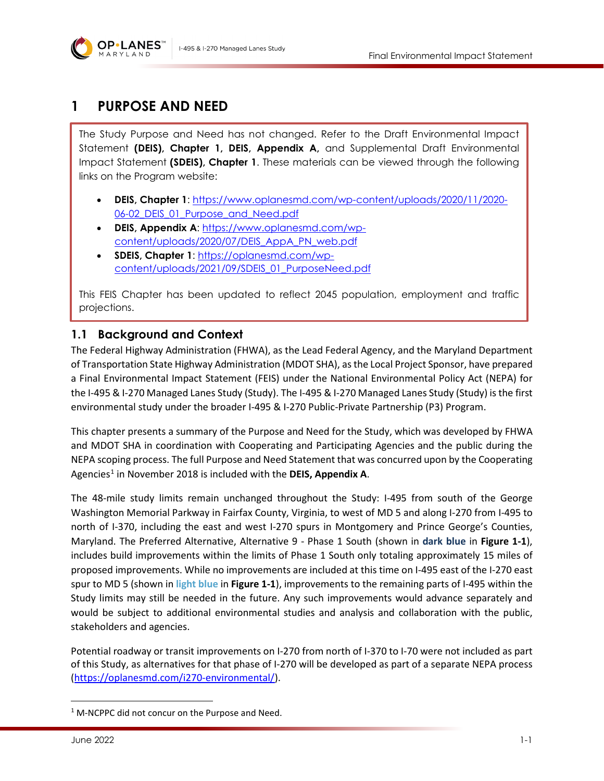

# **1 PURPOSE AND NEED**

The Study Purpose and Need has not changed. Refer to the Draft Environmental Impact Statement **(DEIS), Chapter 1, DEIS, Appendix A,** and Supplemental Draft Environmental Impact Statement **(SDEIS), Chapter 1**. These materials can be viewed through the following links on the Program website:

- **DEIS, Chapter 1**: [https://www.oplanesmd.com/wp-content/uploads/2020/11/2020-](https://www.oplanesmd.com/wp-content/uploads/2020/11/2020-06-02_DEIS_01_Purpose_and_Need.pdf) 06-02 DEIS 01 Purpose and Need.pdf
- **DEIS, Appendix A**: [https://www.oplanesmd.com/wp](https://www.oplanesmd.com/wp-content/uploads/2020/07/DEIS_AppA_PN_web.pdf)[content/uploads/2020/07/DEIS\\_AppA\\_PN\\_web.pdf](https://www.oplanesmd.com/wp-content/uploads/2020/07/DEIS_AppA_PN_web.pdf)
- **SDEIS, Chapter 1**: [https://oplanesmd.com/wp](https://oplanesmd.com/wp-content/uploads/2021/09/SDEIS_01_PurposeNeed.pdf)[content/uploads/2021/09/SDEIS\\_01\\_PurposeNeed.pdf](https://oplanesmd.com/wp-content/uploads/2021/09/SDEIS_01_PurposeNeed.pdf)

This FEIS Chapter has been updated to reflect 2045 population, employment and traffic projections.

# **1.1 Background and Context**

The Federal Highway Administration (FHWA), as the Lead Federal Agency, and the Maryland Department of Transportation State Highway Administration (MDOT SHA), as the Local Project Sponsor, have prepared a Final Environmental Impact Statement (FEIS) under the National Environmental Policy Act (NEPA) for the I-495 & I-270 Managed Lanes Study (Study). The I-495 & I-270 Managed Lanes Study (Study) is the first environmental study under the broader I-495 & I-270 Public-Private Partnership (P3) Program.

This chapter presents a summary of the Purpose and Need for the Study, which was developed by FHWA and MDOT SHA in coordination with Cooperating and Participating Agencies and the public during the NEPA scoping process. The full Purpose and Need Statement that was concurred upon by the Cooperating Agencies<sup>[1](#page-0-0)</sup> in November 2018 is included with the **DEIS, Appendix A**.

The 48-mile study limits remain unchanged throughout the Study: I-495 from south of the George Washington Memorial Parkway in Fairfax County, Virginia, to west of MD 5 and along I-270 from I-495 to north of I-370, including the east and west I-270 spurs in Montgomery and Prince George's Counties, Maryland. The Preferred Alternative, Alternative 9 - Phase 1 South (shown in **dark blue** in **[Figure 1-1](#page-1-0)**), includes build improvements within the limits of Phase 1 South only totaling approximately 15 miles of proposed improvements. While no improvements are included at this time on I-495 east of the I-270 east spur to MD 5 (shown in **light blue** in **[Figure 1-1](#page-1-0)**), improvements to the remaining parts of I-495 within the Study limits may still be needed in the future. Any such improvements would advance separately and would be subject to additional environmental studies and analysis and collaboration with the public, stakeholders and agencies.

Potential roadway or transit improvements on I-270 from north of I-370 to I-70 were not included as part of this Study, as alternatives for that phase of I-270 will be developed as part of a separate NEPA process [\(https://oplanesmd.com/i270-environmental/\)](https://oplanesmd.com/i270-environmental/).

<span id="page-0-0"></span><sup>&</sup>lt;sup>1</sup> M-NCPPC did not concur on the Purpose and Need.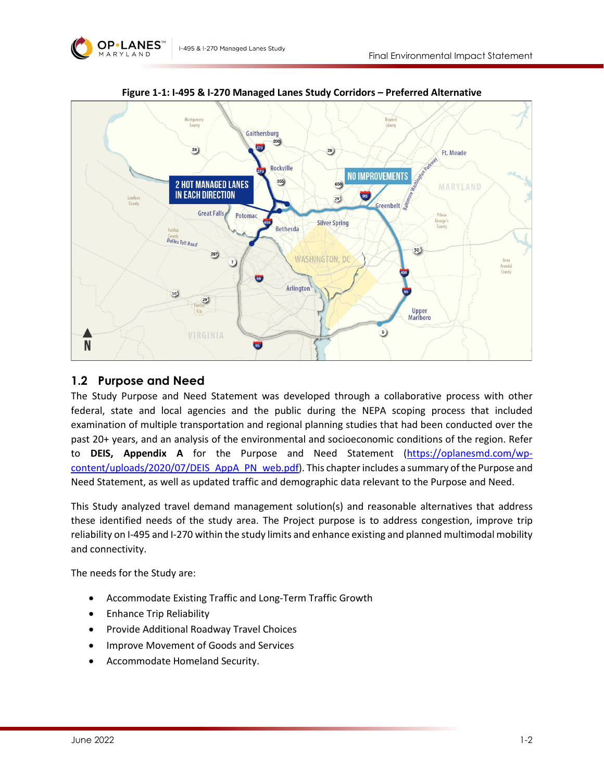

<span id="page-1-0"></span>

**Figure 1-1: I-495 & I-270 Managed Lanes Study Corridors – Preferred Alternative**

#### **1.2 Purpose and Need**

The Study Purpose and Need Statement was developed through a collaborative process with other federal, state and local agencies and the public during the NEPA scoping process that included examination of multiple transportation and regional planning studies that had been conducted over the past 20+ years, and an analysis of the environmental and socioeconomic conditions of the region. Refer to **DEIS, Appendix A** for the Purpose and Need Statement [\(https://oplanesmd.com/wp](https://oplanesmd.com/wp-content/uploads/2020/07/DEIS_AppA_PN_web.pdf)[content/uploads/2020/07/DEIS\\_AppA\\_PN\\_web.pdf\)](https://oplanesmd.com/wp-content/uploads/2020/07/DEIS_AppA_PN_web.pdf). This chapter includes a summary of the Purpose and Need Statement, as well as updated traffic and demographic data relevant to the Purpose and Need.

This Study analyzed travel demand management solution(s) and reasonable alternatives that address these identified needs of the study area. The Project purpose is to address congestion, improve trip reliability on I-495 and I-270 within the study limits and enhance existing and planned multimodal mobility and connectivity.

The needs for the Study are:

- Accommodate Existing Traffic and Long-Term Traffic Growth
- Enhance Trip Reliability
- Provide Additional Roadway Travel Choices
- Improve Movement of Goods and Services
- Accommodate Homeland Security.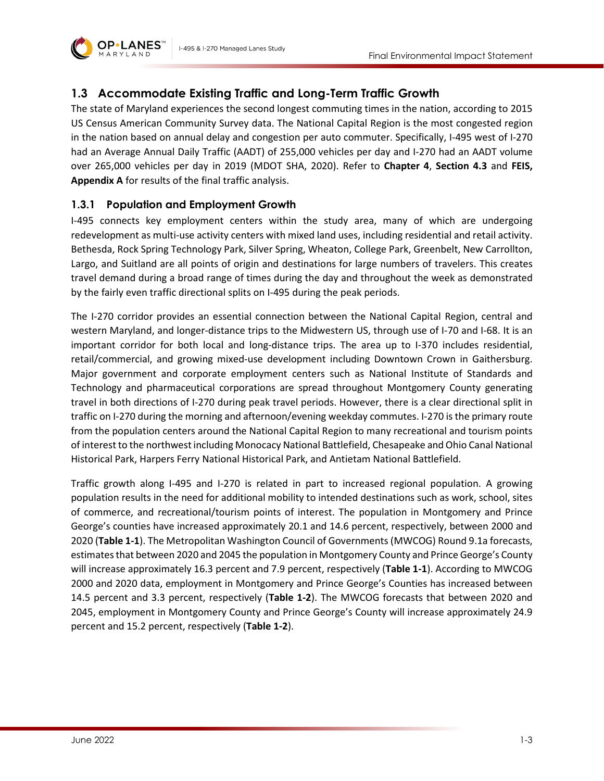



# **1.3 Accommodate Existing Traffic and Long-Term Traffic Growth**

The state of Maryland experiences the second longest commuting times in the nation, according to 2015 US Census American Community Survey data. The National Capital Region is the most congested region in the nation based on annual delay and congestion per auto commuter. Specifically, I-495 west of I-270 had an Average Annual Daily Traffic (AADT) of 255,000 vehicles per day and I-270 had an AADT volume over 265,000 vehicles per day in 2019 (MDOT SHA, 2020). Refer to **Chapter 4**, **Section 4.3** and **FEIS, Appendix A** for results of the final traffic analysis.

# **1.3.1 Population and Employment Growth**

I-495 connects key employment centers within the study area, many of which are undergoing redevelopment as multi-use activity centers with mixed land uses, including residential and retail activity. Bethesda, Rock Spring Technology Park, Silver Spring, Wheaton, College Park, Greenbelt, New Carrollton, Largo, and Suitland are all points of origin and destinations for large numbers of travelers. This creates travel demand during a broad range of times during the day and throughout the week as demonstrated by the fairly even traffic directional splits on I-495 during the peak periods.

The I-270 corridor provides an essential connection between the National Capital Region, central and western Maryland, and longer-distance trips to the Midwestern US, through use of I-70 and I-68. It is an important corridor for both local and long-distance trips. The area up to I-370 includes residential, retail/commercial, and growing mixed-use development including Downtown Crown in Gaithersburg. Major government and corporate employment centers such as National Institute of Standards and Technology and pharmaceutical corporations are spread throughout Montgomery County generating travel in both directions of I-270 during peak travel periods. However, there is a clear directional split in traffic on I-270 during the morning and afternoon/evening weekday commutes. I-270 is the primary route from the population centers around the National Capital Region to many recreational and tourism points of interest to the northwest including Monocacy National Battlefield, Chesapeake and Ohio Canal National Historical Park, Harpers Ferry National Historical Park, and Antietam National Battlefield.

Traffic growth along I-495 and I-270 is related in part to increased regional population. A growing population results in the need for additional mobility to intended destinations such as work, school, sites of commerce, and recreational/tourism points of interest. The population in Montgomery and Prince George's counties have increased approximately 20.1 and 14.6 percent, respectively, between 2000 and 2020 (**[Table 1-1](#page-3-0)**). The Metropolitan Washington Council of Governments (MWCOG) Round 9.1a forecasts, estimates that between 2020 and 2045 the population in Montgomery County and Prince George's County will increase approximately 16.3 percent and 7.9 percent, respectively (**[Table 1-1](#page-3-0)**). According to MWCOG 2000 and 2020 data, employment in Montgomery and Prince George's Counties has increased between 14.5 percent and 3.3 percent, respectively (**[Table 1-2](#page-3-1)**). The MWCOG forecasts that between 2020 and 2045, employment in Montgomery County and Prince George's County will increase approximately 24.9 percent and 15.2 percent, respectively (**[Table 1-2](#page-3-1)**).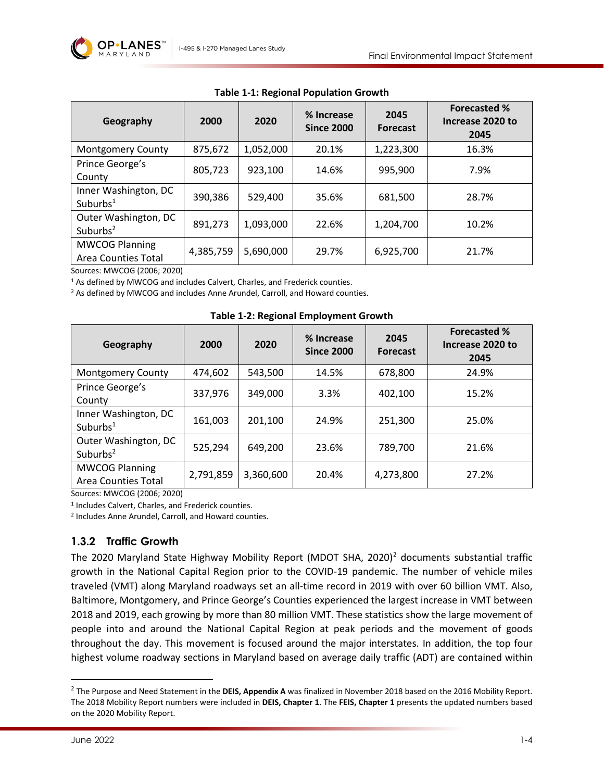

<span id="page-3-0"></span>

| Geography                                           | 2000      | 2020      | % Increase<br><b>Since 2000</b> | 2045<br><b>Forecast</b> | <b>Forecasted %</b><br>Increase 2020 to<br>2045 |
|-----------------------------------------------------|-----------|-----------|---------------------------------|-------------------------|-------------------------------------------------|
| <b>Montgomery County</b>                            | 875,672   | 1,052,000 | 20.1%                           | 1,223,300               | 16.3%                                           |
| Prince George's<br>County                           | 805,723   | 923,100   | 14.6%                           | 995,900                 | 7.9%                                            |
| Inner Washington, DC<br>Suburbs $1$                 | 390,386   | 529,400   | 35.6%                           | 681,500                 | 28.7%                                           |
| Outer Washington, DC<br>Suburbs $2$                 | 891,273   | 1,093,000 | 22.6%                           | 1,204,700               | 10.2%                                           |
| <b>MWCOG Planning</b><br><b>Area Counties Total</b> | 4,385,759 | 5,690,000 | 29.7%                           | 6,925,700               | 21.7%                                           |

**Table 1-1: Regional Population Growth**

Sources: MWCOG (2006; 2020)

<sup>1</sup> As defined by MWCOG and includes Calvert, Charles, and Frederick counties.

<sup>2</sup> As defined by MWCOG and includes Anne Arundel, Carroll, and Howard counties.

<span id="page-3-1"></span>

| Geography                                           | 2000      | 2020      | % Increase<br><b>Since 2000</b> | 2045<br><b>Forecast</b> | <b>Forecasted %</b><br>Increase 2020 to<br>2045 |
|-----------------------------------------------------|-----------|-----------|---------------------------------|-------------------------|-------------------------------------------------|
| <b>Montgomery County</b>                            | 474,602   | 543,500   | 14.5%                           | 678,800                 | 24.9%                                           |
| Prince George's<br>County                           | 337,976   | 349,000   | 3.3%                            | 402,100                 | 15.2%                                           |
| Inner Washington, DC<br>Suburbs $1$                 | 161,003   | 201,100   | 24.9%                           | 251,300                 | 25.0%                                           |
| Outer Washington, DC<br>Suburbs $2$                 | 525,294   | 649,200   | 23.6%                           | 789,700                 | 21.6%                                           |
| <b>MWCOG Planning</b><br><b>Area Counties Total</b> | 2,791,859 | 3,360,600 | 20.4%                           | 4,273,800               | 27.2%                                           |

**Table 1-2: Regional Employment Growth**

Sources: MWCOG (2006; 2020)

<sup>1</sup> Includes Calvert, Charles, and Frederick counties.

<sup>2</sup> Includes Anne Arundel, Carroll, and Howard counties.

#### **1.3.2 Traffic Growth**

The [2](#page-3-2)020 Maryland State Highway Mobility Report (MDOT SHA, 2020)<sup>2</sup> documents substantial traffic growth in the National Capital Region prior to the COVID-19 pandemic. The number of vehicle miles traveled (VMT) along Maryland roadways set an all-time record in 2019 with over 60 billion VMT. Also, Baltimore, Montgomery, and Prince George's Counties experienced the largest increase in VMT between 2018 and 2019, each growing by more than 80 million VMT. These statistics show the large movement of people into and around the National Capital Region at peak periods and the movement of goods throughout the day. This movement is focused around the major interstates. In addition, the top four highest volume roadway sections in Maryland based on average daily traffic (ADT) are contained within

<span id="page-3-2"></span><sup>&</sup>lt;sup>2</sup> The Purpose and Need Statement in the **DEIS, Appendix A** was finalized in November 2018 based on the 2016 Mobility Report. The 2018 Mobility Report numbers were included in **DEIS, Chapter 1**. The **FEIS, Chapter 1** presents the updated numbers based on the 2020 Mobility Report.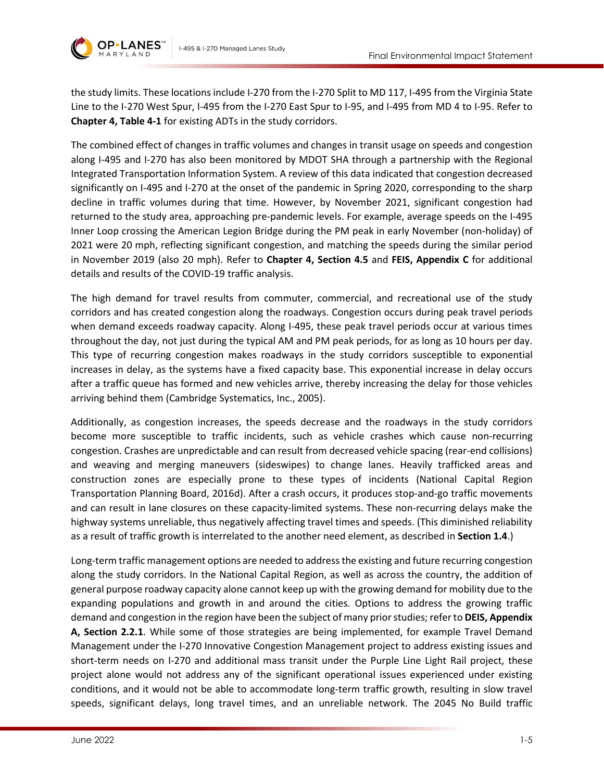

the study limits. These locations include I-270 from the I-270 Split to MD 117, I-495 from the Virginia State Line to the I-270 West Spur, I-495 from the I-270 East Spur to I-95, and I-495 from MD 4 to I-95. Refer to **Chapter 4, Table 4-1** for existing ADTs in the study corridors.

The combined effect of changes in traffic volumes and changes in transit usage on speeds and congestion along I-495 and I-270 has also been monitored by MDOT SHA through a partnership with the Regional Integrated Transportation Information System. A review of this data indicated that congestion decreased significantly on I-495 and I-270 at the onset of the pandemic in Spring 2020, corresponding to the sharp decline in traffic volumes during that time. However, by November 2021, significant congestion had returned to the study area, approaching pre-pandemic levels. For example, average speeds on the I-495 Inner Loop crossing the American Legion Bridge during the PM peak in early November (non-holiday) of 2021 were 20 mph, reflecting significant congestion, and matching the speeds during the similar period in November 2019 (also 20 mph). Refer to **Chapter 4, Section 4.5** and **FEIS, Appendix C** for additional details and results of the COVID-19 traffic analysis.

The high demand for travel results from commuter, commercial, and recreational use of the study corridors and has created congestion along the roadways. Congestion occurs during peak travel periods when demand exceeds roadway capacity. Along I-495, these peak travel periods occur at various times throughout the day, not just during the typical AM and PM peak periods, for as long as 10 hours per day. This type of recurring congestion makes roadways in the study corridors susceptible to exponential increases in delay, as the systems have a fixed capacity base. This exponential increase in delay occurs after a traffic queue has formed and new vehicles arrive, thereby increasing the delay for those vehicles arriving behind them (Cambridge Systematics, Inc., 2005).

Additionally, as congestion increases, the speeds decrease and the roadways in the study corridors become more susceptible to traffic incidents, such as vehicle crashes which cause non-recurring congestion. Crashes are unpredictable and can result from decreased vehicle spacing (rear-end collisions) and weaving and merging maneuvers (sideswipes) to change lanes. Heavily trafficked areas and construction zones are especially prone to these types of incidents (National Capital Region Transportation Planning Board, 2016d). After a crash occurs, it produces stop-and-go traffic movements and can result in lane closures on these capacity-limited systems. These non-recurring delays make the highway systems unreliable, thus negatively affecting travel times and speeds. (This diminished reliability as a result of traffic growth is interrelated to the another need element, as described in **Section 1.4**.)

Long-term traffic management options are needed to address the existing and future recurring congestion along the study corridors. In the National Capital Region, as well as across the country, the addition of general purpose roadway capacity alone cannot keep up with the growing demand for mobility due to the expanding populations and growth in and around the cities. Options to address the growing traffic demand and congestion in the region have been the subject of many prior studies; refer to **DEIS, Appendix A, Section 2.2.1**. While some of those strategies are being implemented, for example Travel Demand Management under the I-270 Innovative Congestion Management project to address existing issues and short-term needs on I-270 and additional mass transit under the Purple Line Light Rail project, these project alone would not address any of the significant operational issues experienced under existing conditions, and it would not be able to accommodate long-term traffic growth, resulting in slow travel speeds, significant delays, long travel times, and an unreliable network. The 2045 No Build traffic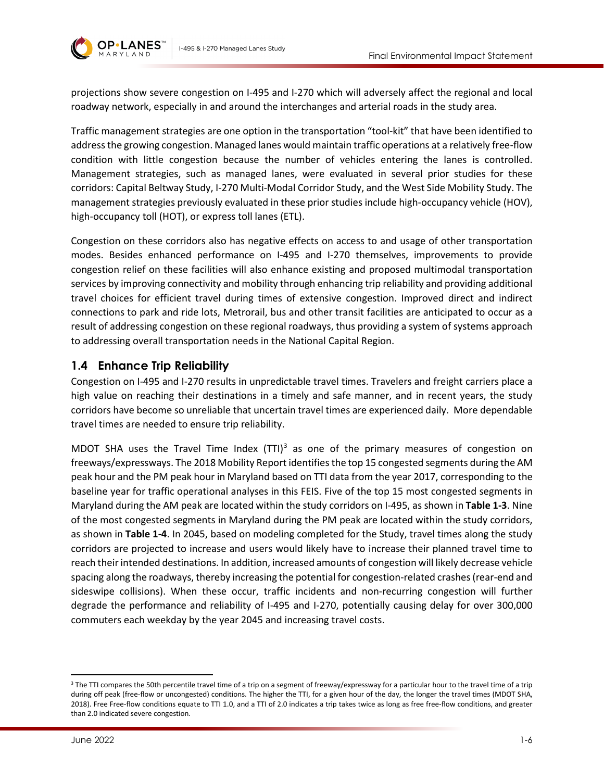

projections show severe congestion on I-495 and I-270 which will adversely affect the regional and local roadway network, especially in and around the interchanges and arterial roads in the study area.

Traffic management strategies are one option in the transportation "tool-kit" that have been identified to address the growing congestion. Managed lanes would maintain traffic operations at a relatively free-flow condition with little congestion because the number of vehicles entering the lanes is controlled. Management strategies, such as managed lanes, were evaluated in several prior studies for these corridors: Capital Beltway Study, I-270 Multi-Modal Corridor Study, and the West Side Mobility Study. The management strategies previously evaluated in these prior studies include high-occupancy vehicle (HOV), high-occupancy toll (HOT), or express toll lanes (ETL).

Congestion on these corridors also has negative effects on access to and usage of other transportation modes. Besides enhanced performance on I-495 and I-270 themselves, improvements to provide congestion relief on these facilities will also enhance existing and proposed multimodal transportation services by improving connectivity and mobility through enhancing trip reliability and providing additional travel choices for efficient travel during times of extensive congestion. Improved direct and indirect connections to park and ride lots, Metrorail, bus and other transit facilities are anticipated to occur as a result of addressing congestion on these regional roadways, thus providing a system of systems approach to addressing overall transportation needs in the National Capital Region.

# **1.4 Enhance Trip Reliability**

Congestion on I-495 and I-270 results in unpredictable travel times. Travelers and freight carriers place a high value on reaching their destinations in a timely and safe manner, and in recent years, the study corridors have become so unreliable that uncertain travel times are experienced daily. More dependable travel times are needed to ensure trip reliability.

MDOT SHA uses the Travel Time Index  $(TT)$ <sup>[3](#page-5-0)</sup> as one of the primary measures of congestion on freeways/expressways. The 2018 Mobility Report identifies the top 15 congested segments during the AM peak hour and the PM peak hour in Maryland based on TTI data from the year 2017, corresponding to the baseline year for traffic operational analyses in this FEIS. Five of the top 15 most congested segments in Maryland during the AM peak are located within the study corridors on I-495, as shown in **[Table 1-3](#page-6-0)**. Nine of the most congested segments in Maryland during the PM peak are located within the study corridors, as shown in **[Table 1-4](#page-6-1)**. In 2045, based on modeling completed for the Study, travel times along the study corridors are projected to increase and users would likely have to increase their planned travel time to reach their intended destinations. In addition, increased amounts of congestion will likely decrease vehicle spacing along the roadways, thereby increasing the potential for congestion-related crashes (rear-end and sideswipe collisions). When these occur, traffic incidents and non-recurring congestion will further degrade the performance and reliability of I-495 and I-270, potentially causing delay for over 300,000 commuters each weekday by the year 2045 and increasing travel costs.

<span id="page-5-0"></span><sup>&</sup>lt;sup>3</sup> The TTI compares the 50th percentile travel time of a trip on a segment of freeway/expressway for a particular hour to the travel time of a trip during off peak (free-flow or uncongested) conditions. The higher the TTI, for a given hour of the day, the longer the travel times (MDOT SHA, 2018). Free Free-flow conditions equate to TTI 1.0, and a TTI of 2.0 indicates a trip takes twice as long as free free-flow conditions, and greater than 2.0 indicated severe congestion.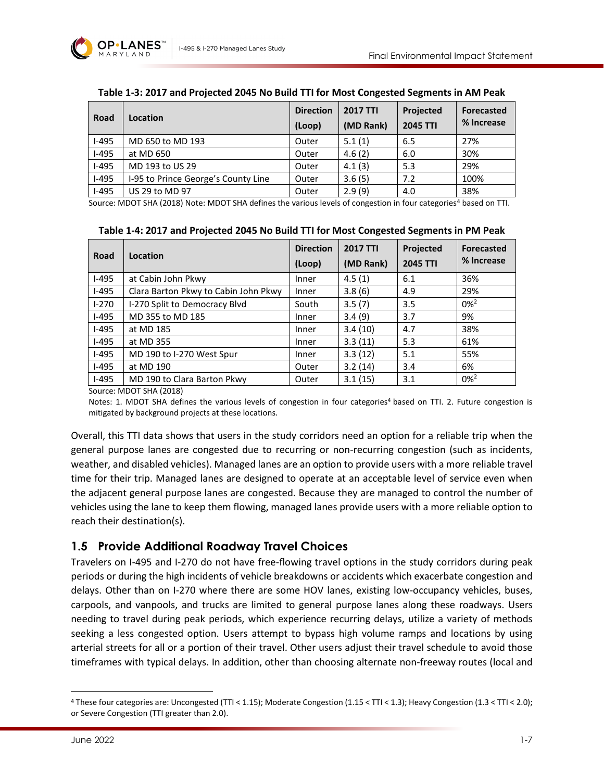

<span id="page-6-0"></span>

| Road    | Location                            | <b>Direction</b><br>(Loop) | <b>2017 TTI</b><br>(MD Rank) | Projected<br><b>2045 TTI</b> | Forecasted<br>% Increase |
|---------|-------------------------------------|----------------------------|------------------------------|------------------------------|--------------------------|
| $I-495$ | MD 650 to MD 193                    | Outer                      | 5.1(1)                       | 6.5                          | 27%                      |
| $I-495$ | at MD 650                           | Outer                      | 4.6(2)                       | 6.0                          | 30%                      |
| $I-495$ | MD 193 to US 29                     | Outer                      | 4.1(3)                       | 5.3                          | 29%                      |
| $I-495$ | I-95 to Prince George's County Line | Outer                      | 3.6(5)                       | 7.2                          | 100%                     |
| $I-495$ | US 29 to MD 97                      | Outer                      | 2.9(9)                       | 4.0                          | 38%                      |

#### **Table 1-3: 2017 and Projected 2045 No Build TTI for Most Congested Segments in AM Peak**

Source: MDOT SHA (2018) Note: MDOT SHA defines the various levels of congestion in four categories<sup>[4](#page-6-2)</sup> based on TTI.

| Table 1-4: 2017 and Projected 2045 No Build TTI for Most Congested Segments in PM Peak |
|----------------------------------------------------------------------------------------|
|----------------------------------------------------------------------------------------|

<span id="page-6-1"></span>

| Road    | Location                             | <b>Direction</b><br>(Loop) | <b>2017 TTI</b><br>(MD Rank) | Projected<br><b>2045 TTI</b> | <b>Forecasted</b><br>% Increase |
|---------|--------------------------------------|----------------------------|------------------------------|------------------------------|---------------------------------|
| $I-495$ | at Cabin John Pkwy                   | Inner                      | 4.5(1)                       | 6.1                          | 36%                             |
| $I-495$ | Clara Barton Pkwy to Cabin John Pkwy | Inner                      | 3.8(6)                       | 4.9                          | 29%                             |
| $1-270$ | I-270 Split to Democracy Blvd        | South                      | 3.5(7)                       | 3.5                          | $0\%^2$                         |
| $I-495$ | MD 355 to MD 185                     | Inner                      | 3.4(9)                       | 3.7                          | 9%                              |
| $I-495$ | at MD 185                            | Inner                      | 3.4(10)                      | 4.7                          | 38%                             |
| $I-495$ | at MD 355                            | Inner                      | 3.3(11)                      | 5.3                          | 61%                             |
| $I-495$ | MD 190 to I-270 West Spur            | Inner                      | 3.3(12)                      | 5.1                          | 55%                             |
| $I-495$ | at MD 190                            | Outer                      | 3.2(14)                      | 3.4                          | 6%                              |
| $I-495$ | MD 190 to Clara Barton Pkwy          | Outer                      | 3.1(15)                      | 3.1                          | $0\%$ <sup>2</sup>              |

Source: MDOT SHA (2018)

Notes: 1. MDOT SHA defines the various levels of congestion in four categories<sup>4</sup> based on TTI. 2. Future congestion is mitigated by background projects at these locations.

Overall, this TTI data shows that users in the study corridors need an option for a reliable trip when the general purpose lanes are congested due to recurring or non-recurring congestion (such as incidents, weather, and disabled vehicles). Managed lanes are an option to provide users with a more reliable travel time for their trip. Managed lanes are designed to operate at an acceptable level of service even when the adjacent general purpose lanes are congested. Because they are managed to control the number of vehicles using the lane to keep them flowing, managed lanes provide users with a more reliable option to reach their destination(s).

#### **1.5 Provide Additional Roadway Travel Choices**

Travelers on I-495 and I-270 do not have free-flowing travel options in the study corridors during peak periods or during the high incidents of vehicle breakdowns or accidents which exacerbate congestion and delays. Other than on I-270 where there are some HOV lanes, existing low-occupancy vehicles, buses, carpools, and vanpools, and trucks are limited to general purpose lanes along these roadways. Users needing to travel during peak periods, which experience recurring delays, utilize a variety of methods seeking a less congested option. Users attempt to bypass high volume ramps and locations by using arterial streets for all or a portion of their travel. Other users adjust their travel schedule to avoid those timeframes with typical delays. In addition, other than choosing alternate non-freeway routes (local and

<span id="page-6-2"></span><sup>4</sup> These four categories are: Uncongested (TTI < 1.15); Moderate Congestion (1.15 < TTI < 1.3); Heavy Congestion (1.3 < TTI < 2.0); or Severe Congestion (TTI greater than 2.0).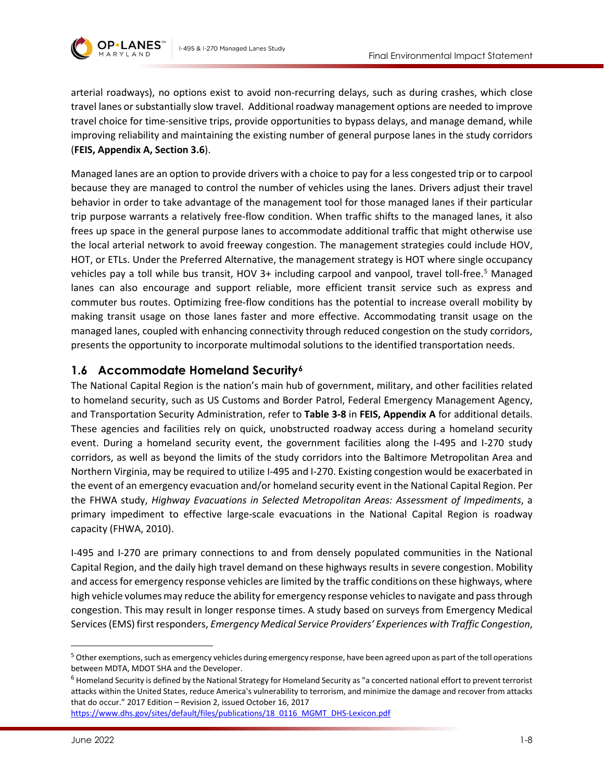

arterial roadways), no options exist to avoid non-recurring delays, such as during crashes, which close travel lanes or substantially slow travel. Additional roadway management options are needed to improve travel choice for time-sensitive trips, provide opportunities to bypass delays, and manage demand, while improving reliability and maintaining the existing number of general purpose lanes in the study corridors (**FEIS, Appendix A, Section 3.6**).

Managed lanes are an option to provide drivers with a choice to pay for a less congested trip or to carpool because they are managed to control the number of vehicles using the lanes. Drivers adjust their travel behavior in order to take advantage of the management tool for those managed lanes if their particular trip purpose warrants a relatively free-flow condition. When traffic shifts to the managed lanes, it also frees up space in the general purpose lanes to accommodate additional traffic that might otherwise use the local arterial network to avoid freeway congestion. The management strategies could include HOV, HOT, or ETLs. Under the Preferred Alternative, the management strategy is HOT where single occupancy vehicles pay a toll while bus transit, HOV 3+ including carpool and vanpool, travel toll-free.<sup>[5](#page-7-0)</sup> Managed lanes can also encourage and support reliable, more efficient transit service such as express and commuter bus routes. Optimizing free-flow conditions has the potential to increase overall mobility by making transit usage on those lanes faster and more effective. Accommodating transit usage on the managed lanes, coupled with enhancing connectivity through reduced congestion on the study corridors, presents the opportunity to incorporate multimodal solutions to the identified transportation needs.

# **1.6 Accommodate Homeland Security[6](#page-7-1)**

The National Capital Region is the nation's main hub of government, military, and other facilities related to homeland security, such as US Customs and Border Patrol, Federal Emergency Management Agency, and Transportation Security Administration, refer to **Table 3-8** in **FEIS, Appendix A** for additional details. These agencies and facilities rely on quick, unobstructed roadway access during a homeland security event. During a homeland security event, the government facilities along the I-495 and I-270 study corridors, as well as beyond the limits of the study corridors into the Baltimore Metropolitan Area and Northern Virginia, may be required to utilize I-495 and I-270. Existing congestion would be exacerbated in the event of an emergency evacuation and/or homeland security event in the National Capital Region. Per the FHWA study, *Highway Evacuations in Selected Metropolitan Areas: Assessment of Impediments*, a primary impediment to effective large-scale evacuations in the National Capital Region is roadway capacity (FHWA, 2010).

I-495 and I-270 are primary connections to and from densely populated communities in the National Capital Region, and the daily high travel demand on these highways results in severe congestion. Mobility and access for emergency response vehicles are limited by the traffic conditions on these highways, where high vehicle volumes may reduce the ability for emergency response vehicles to navigate and pass through congestion. This may result in longer response times. A study based on surveys from Emergency Medical Services (EMS) first responders, *Emergency Medical Service Providers' Experiences with Traffic Congestion*,

[https://www.dhs.gov/sites/default/files/publications/18\\_0116\\_MGMT\\_DHS-Lexicon.pdf](https://www.dhs.gov/sites/default/files/publications/18_0116_MGMT_DHS-Lexicon.pdf)

<span id="page-7-0"></span><sup>&</sup>lt;sup>5</sup> Other exemptions, such as emergency vehicles during emergency response, have been agreed upon as part of the toll operations between MDTA, MDOT SHA and the Developer.

<span id="page-7-1"></span><sup>6</sup> Homeland Security is defined by the National Strategy for Homeland Security as "a concerted national effort to prevent terrorist attacks within the United States, reduce America's vulnerability to terrorism, and minimize the damage and recover from attacks that do occur." 2017 Edition – Revision 2, issued October 16, 2017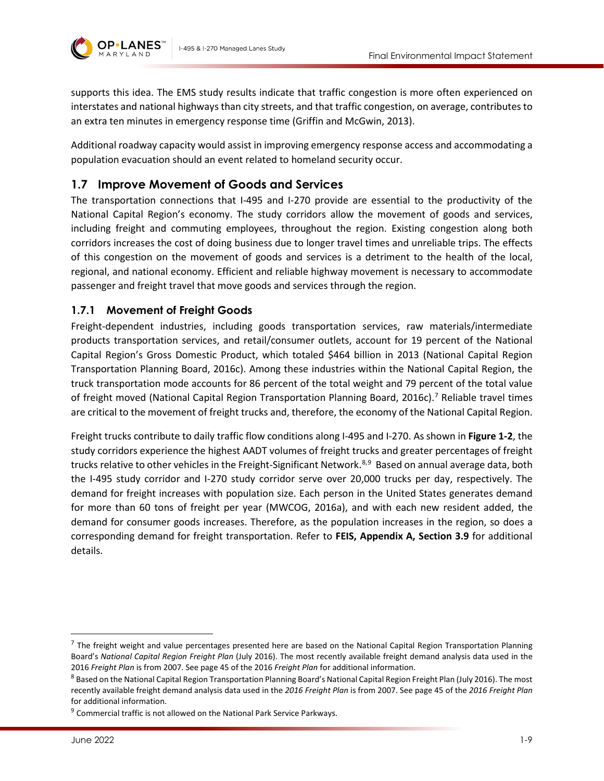

supports this idea. The EMS study results indicate that traffic congestion is more often experienced on interstates and national highways than city streets, and that traffic congestion, on average, contributes to an extra ten minutes in emergency response time (Griffin and McGwin, 2013).

Additional roadway capacity would assist in improving emergency response access and accommodating a population evacuation should an event related to homeland security occur.

# **1.7 Improve Movement of Goods and Services**

The transportation connections that I-495 and I-270 provide are essential to the productivity of the National Capital Region's economy. The study corridors allow the movement of goods and services, including freight and commuting employees, throughout the region. Existing congestion along both corridors increases the cost of doing business due to longer travel times and unreliable trips. The effects of this congestion on the movement of goods and services is a detriment to the health of the local, regional, and national economy. Efficient and reliable highway movement is necessary to accommodate passenger and freight travel that move goods and services through the region.

#### **1.7.1 Movement of Freight Goods**

Freight-dependent industries, including goods transportation services, raw materials/intermediate products transportation services, and retail/consumer outlets, account for 19 percent of the National Capital Region's Gross Domestic Product, which totaled \$464 billion in 2013 (National Capital Region Transportation Planning Board, 2016c). Among these industries within the National Capital Region, the truck transportation mode accounts for 86 percent of the total weight and 79 percent of the total value of freight moved (National Capital Region Transportation Planning Board, 2016c).[7](#page-8-0) Reliable travel times are critical to the movement of freight trucks and, therefore, the economy of the National Capital Region.

Freight trucks contribute to daily traffic flow conditions along I-495 and I-270. As shown in **[Figure 1-2](#page-9-0)**, the study corridors experience the highest AADT volumes of freight trucks and greater percentages of freight trucks relative to other vehicles in the Freight-Significant Network.<sup>[8,](#page-8-1)[9](#page-8-2)</sup> Based on annual average data, both the I-495 study corridor and I-270 study corridor serve over 20,000 trucks per day, respectively. The demand for freight increases with population size. Each person in the United States generates demand for more than 60 tons of freight per year (MWCOG, 2016a), and with each new resident added, the demand for consumer goods increases. Therefore, as the population increases in the region, so does a corresponding demand for freight transportation. Refer to **FEIS, Appendix A, Section 3.9** for additional details.

<span id="page-8-0"></span> $<sup>7</sup>$  The freight weight and value percentages presented here are based on the National Capital Region Transportation Planning</sup> Board's *National Capital Region Freight Plan* (July 2016). The most recently available freight demand analysis data used in the 2016 Freight Plan is from 2007. See page 45 of the 2016 Freight Plan for additional information.<br><sup>8</sup> Based on the National Capital Region Transportation Planning Board's National Capital Region Freight Plan (July 2016). Th

<span id="page-8-1"></span>recently available freight demand analysis data used in the *2016 Freight Plan* is from 2007. See page 45 of the *2016 Freight Plan* for additional information.

<span id="page-8-2"></span><sup>&</sup>lt;sup>9</sup> Commercial traffic is not allowed on the National Park Service Parkways.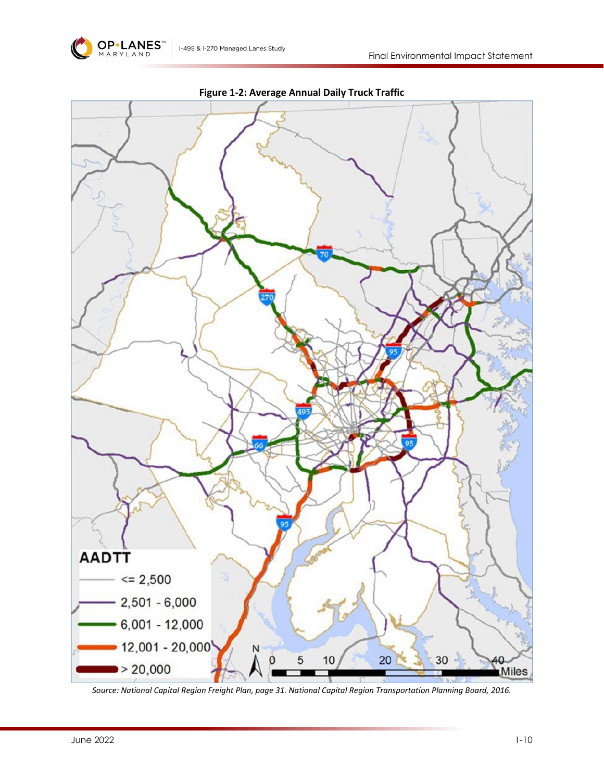<span id="page-9-0"></span>

**Figure 1-2: Average Annual Daily Truck Traffic**

I-495 & I-270 Managed Lanes Study

*Source: National Capital Region Freight Plan, page 31. National Capital Region Transportation Planning Board, 2016.*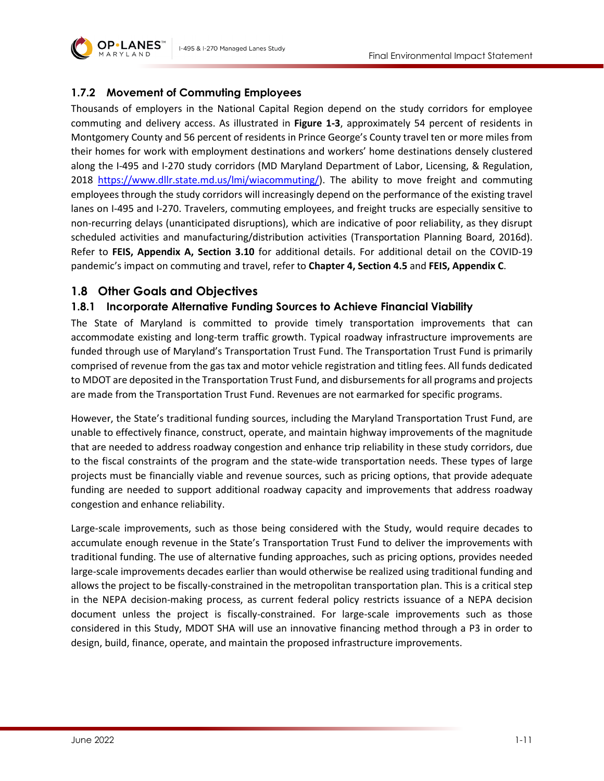

# **1.7.2 Movement of Commuting Employees**

Thousands of employers in the National Capital Region depend on the study corridors for employee commuting and delivery access. As illustrated in **[Figure 1-3](#page-11-0)**, approximately 54 percent of residents in Montgomery County and 56 percent of residents in Prince George's County travel ten or more miles from their homes for work with employment destinations and workers' home destinations densely clustered along the I-495 and I-270 study corridors (MD Maryland Department of Labor, Licensing, & Regulation, 2018 [https://www.dllr.state.md.us/lmi/wiacommuting/\)](https://www.dllr.state.md.us/lmi/wiacommuting/). The ability to move freight and commuting employees through the study corridors will increasingly depend on the performance of the existing travel lanes on I-495 and I-270. Travelers, commuting employees, and freight trucks are especially sensitive to non-recurring delays (unanticipated disruptions), which are indicative of poor reliability, as they disrupt scheduled activities and manufacturing/distribution activities (Transportation Planning Board, 2016d). Refer to **FEIS, Appendix A, Section 3.10** for additional details. For additional detail on the COVID-19 pandemic's impact on commuting and travel, refer to **Chapter 4, Section 4.5** and **FEIS, Appendix C**.

# **1.8 Other Goals and Objectives**

# **1.8.1 Incorporate Alternative Funding Sources to Achieve Financial Viability**

The State of Maryland is committed to provide timely transportation improvements that can accommodate existing and long-term traffic growth. Typical roadway infrastructure improvements are funded through use of Maryland's Transportation Trust Fund. The Transportation Trust Fund is primarily comprised of revenue from the gas tax and motor vehicle registration and titling fees. All funds dedicated to MDOT are deposited in the Transportation Trust Fund, and disbursements for all programs and projects are made from the Transportation Trust Fund. Revenues are not earmarked for specific programs.

However, the State's traditional funding sources, including the Maryland Transportation Trust Fund, are unable to effectively finance, construct, operate, and maintain highway improvements of the magnitude that are needed to address roadway congestion and enhance trip reliability in these study corridors, due to the fiscal constraints of the program and the state-wide transportation needs. These types of large projects must be financially viable and revenue sources, such as pricing options, that provide adequate funding are needed to support additional roadway capacity and improvements that address roadway congestion and enhance reliability.

Large-scale improvements, such as those being considered with the Study, would require decades to accumulate enough revenue in the State's Transportation Trust Fund to deliver the improvements with traditional funding. The use of alternative funding approaches, such as pricing options, provides needed large-scale improvements decades earlier than would otherwise be realized using traditional funding and allows the project to be fiscally-constrained in the metropolitan transportation plan. This is a critical step in the NEPA decision-making process, as current federal policy restricts issuance of a NEPA decision document unless the project is fiscally-constrained. For large-scale improvements such as those considered in this Study, MDOT SHA will use an innovative financing method through a P3 in order to design, build, finance, operate, and maintain the proposed infrastructure improvements.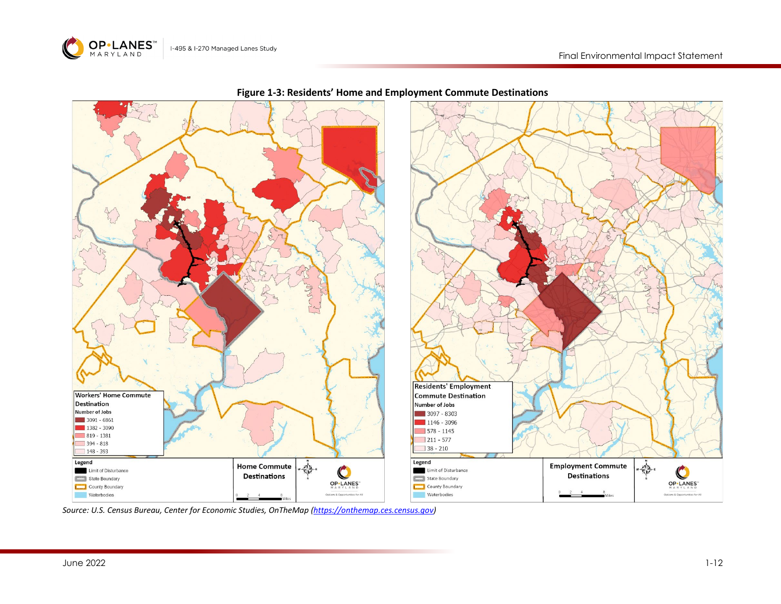

<span id="page-11-0"></span>

#### **Figure 1-3: Residents' Home and Employment Commute Destinations**

*Source: U.S. Census Bureau, Center for Economic Studies, OnTheMap [\(https://onthemap.ces.census.gov\)](https://onthemap.ces.census.gov/)*